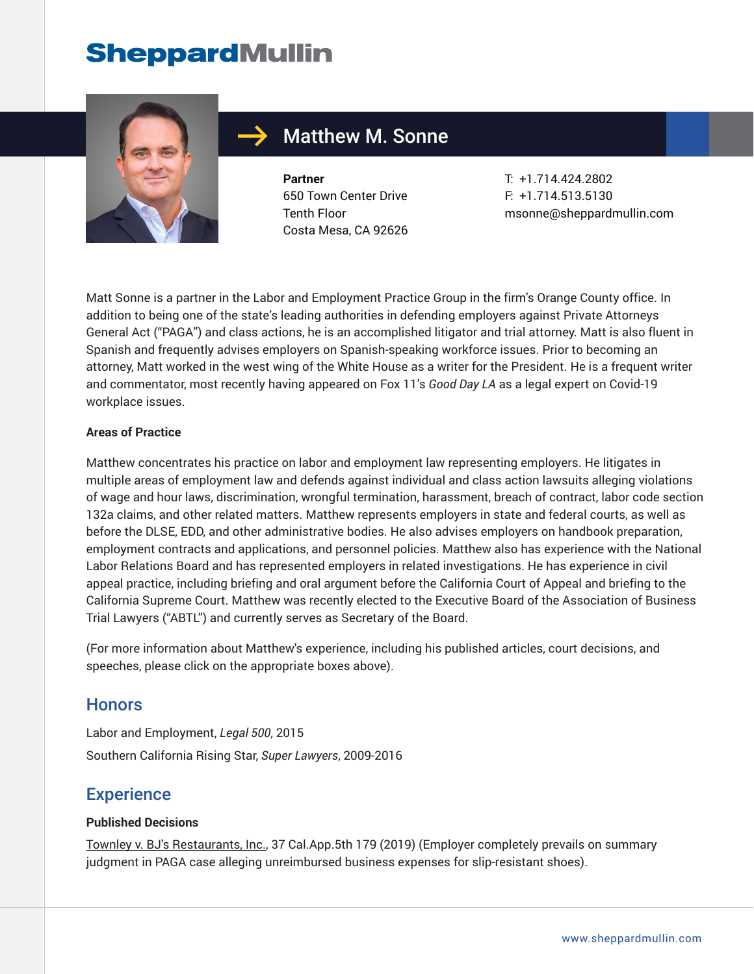

### Matthew M. Sonne

**Partner** 650 Town Center Drive Tenth Floor Costa Mesa, CA 92626 T: +1.714.424.2802 F: +1.714.513.5130 msonne@sheppardmullin.com

Matt Sonne is a partner in the Labor and Employment Practice Group in the firm's Orange County office. In addition to being one of the state's leading authorities in defending employers against Private Attorneys General Act ("PAGA") and class actions, he is an accomplished litigator and trial attorney. Matt is also fluent in Spanish and frequently advises employers on Spanish-speaking workforce issues. Prior to becoming an attorney, Matt worked in the west wing of the White House as a writer for the President. He is a frequent writer and commentator, most recently having appeared on Fox 11's *Good Day LA* as a legal expert on Covid-19 workplace issues.

#### **Areas of Practice**

Matthew concentrates his practice on labor and employment law representing employers. He litigates in multiple areas of employment law and defends against individual and class action lawsuits alleging violations of wage and hour laws, discrimination, wrongful termination, harassment, breach of contract, labor code section 132a claims, and other related matters. Matthew represents employers in state and federal courts, as well as before the DLSE, EDD, and other administrative bodies. He also advises employers on handbook preparation, employment contracts and applications, and personnel policies. Matthew also has experience with the National Labor Relations Board and has represented employers in related investigations. He has experience in civil appeal practice, including briefing and oral argument before the California Court of Appeal and briefing to the California Supreme Court. Matthew was recently elected to the Executive Board of the Association of Business Trial Lawyers ("ABTL") and currently serves as Secretary of the Board.

(For more information about Matthew's experience, including his published articles, court decisions, and speeches, please click on the appropriate boxes above).

#### **Honors**

Labor and Employment, *Legal 500*, 2015 Southern California Rising Star, *Super Lawyers*, 2009-2016

#### **Experience**

#### **Published Decisions**

Townley v. BJ's Restaurants, Inc., 37 Cal.App.5th 179 (2019) (Employer completely prevails on summary judgment in PAGA case alleging unreimbursed business expenses for slip-resistant shoes).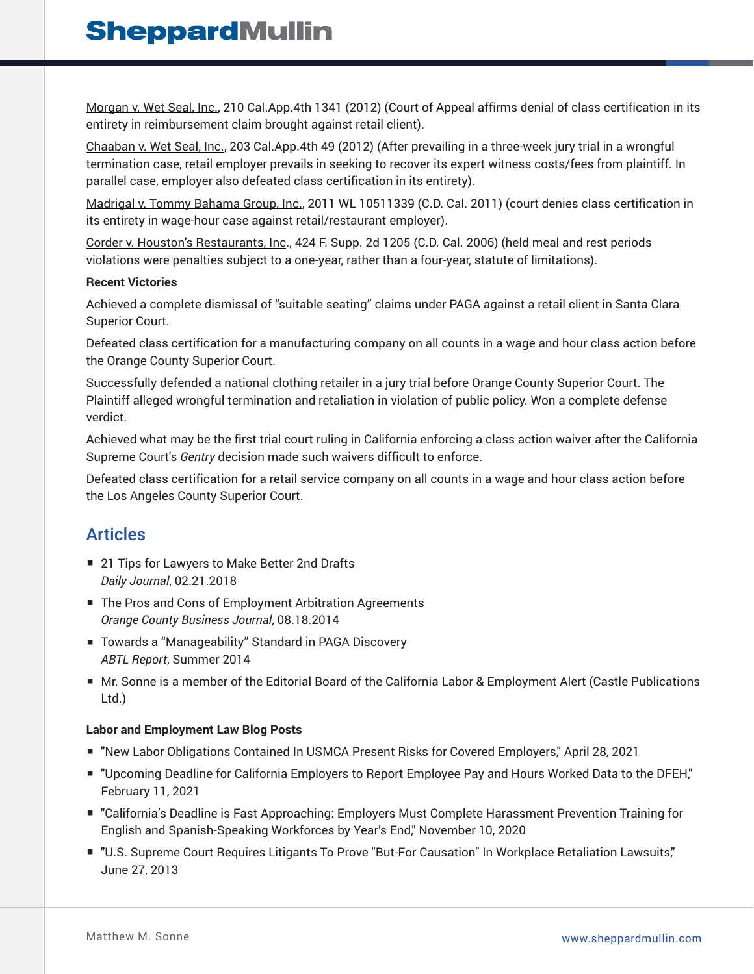Morgan v. Wet Seal, Inc., 210 Cal.App.4th 1341 (2012) (Court of Appeal affirms denial of class certification in its entirety in reimbursement claim brought against retail client).

Chaaban v. Wet Seal, Inc., 203 Cal.App.4th 49 (2012) (After prevailing in a three-week jury trial in a wrongful termination case, retail employer prevails in seeking to recover its expert witness costs/fees from plaintiff. In parallel case, employer also defeated class certification in its entirety).

Madrigal v. Tommy Bahama Group, Inc., 2011 WL 10511339 (C.D. Cal. 2011) (court denies class certification in its entirety in wage-hour case against retail/restaurant employer).

Corder v. Houston's Restaurants, Inc., 424 F. Supp. 2d 1205 (C.D. Cal. 2006) (held meal and rest periods violations were penalties subject to a one-year, rather than a four-year, statute of limitations).

#### **Recent Victories**

Achieved a complete dismissal of "suitable seating" claims under PAGA against a retail client in Santa Clara Superior Court.

Defeated class certification for a manufacturing company on all counts in a wage and hour class action before the Orange County Superior Court.

Successfully defended a national clothing retailer in a jury trial before Orange County Superior Court. The Plaintiff alleged wrongful termination and retaliation in violation of public policy. Won a complete defense verdict.

Achieved what may be the first trial court ruling in California enforcing a class action waiver after the California Supreme Court's *Gentry* decision made such waivers difficult to enforce.

Defeated class certification for a retail service company on all counts in a wage and hour class action before the Los Angeles County Superior Court.

#### Articles

- 21 Tips for Lawyers to Make Better 2nd Drafts *Daily Journal*, 02.21.2018
- The Pros and Cons of Employment Arbitration Agreements *Orange County Business Journal*, 08.18.2014
- Towards a "Manageability" Standard in PAGA Discovery *ABTL Report*, Summer 2014
- Mr. Sonne is a member of the Editorial Board of the California Labor & Employment Alert (Castle Publications Ltd.)

#### **Labor and Employment Law Blog Posts**

- "New Labor Obligations Contained In USMCA Present Risks for Covered Employers," April 28, 2021
- "Upcoming Deadline for California Employers to Report Employee Pay and Hours Worked Data to the DFEH," February 11, 2021
- "California's Deadline is Fast Approaching: Employers Must Complete Harassment Prevention Training for English and Spanish-Speaking Workforces by Year's End," November 10, 2020
- "U.S. Supreme Court Requires Litigants To Prove "But-For Causation" In Workplace Retaliation Lawsuits," June 27, 2013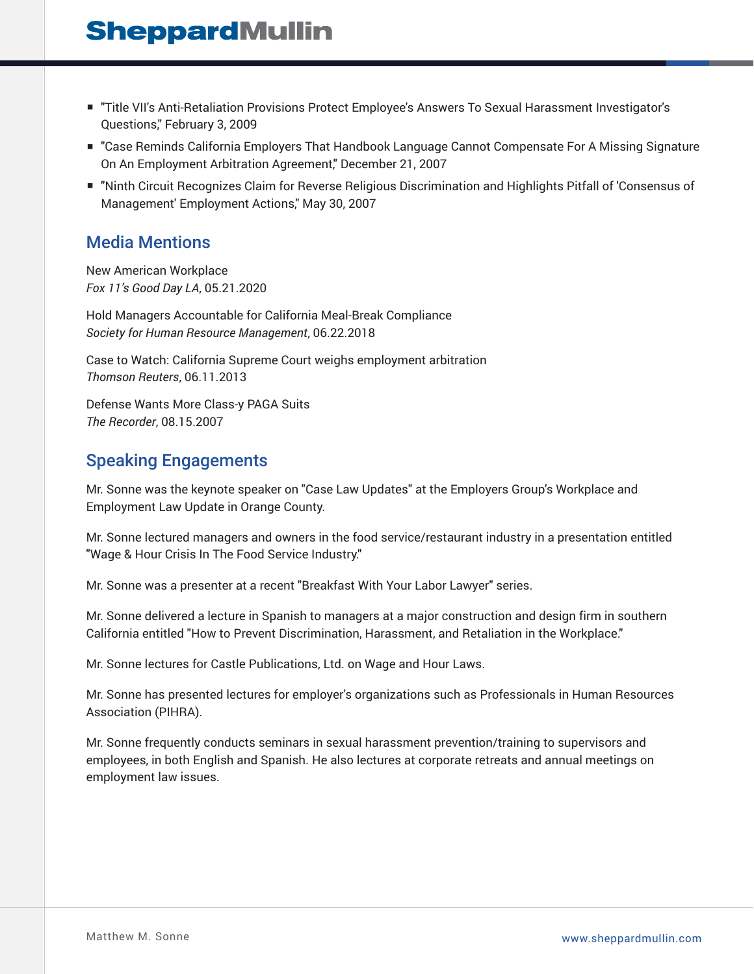- "Title VII's Anti-Retaliation Provisions Protect Employee's Answers To Sexual Harassment Investigator's Questions," February 3, 2009
- "Case Reminds California Employers That Handbook Language Cannot Compensate For A Missing Signature On An Employment Arbitration Agreement," December 21, 2007
- "Ninth Circuit Recognizes Claim for Reverse Religious Discrimination and Highlights Pitfall of 'Consensus of Management' Employment Actions," May 30, 2007

### Media Mentions

New American Workplace *Fox 11's Good Day LA*, 05.21.2020

Hold Managers Accountable for California Meal-Break Compliance *Society for Human Resource Management*, 06.22.2018

Case to Watch: California Supreme Court weighs employment arbitration *Thomson Reuters*, 06.11.2013

Defense Wants More Class-y PAGA Suits *The Recorder*, 08.15.2007

### Speaking Engagements

Mr. Sonne was the keynote speaker on "Case Law Updates" at the Employers Group's Workplace and Employment Law Update in Orange County.

Mr. Sonne lectured managers and owners in the food service/restaurant industry in a presentation entitled "Wage & Hour Crisis In The Food Service Industry."

Mr. Sonne was a presenter at a recent "Breakfast With Your Labor Lawyer" series.

Mr. Sonne delivered a lecture in Spanish to managers at a major construction and design firm in southern California entitled "How to Prevent Discrimination, Harassment, and Retaliation in the Workplace."

Mr. Sonne lectures for Castle Publications, Ltd. on Wage and Hour Laws.

Mr. Sonne has presented lectures for employer's organizations such as Professionals in Human Resources Association (PIHRA).

Mr. Sonne frequently conducts seminars in sexual harassment prevention/training to supervisors and employees, in both English and Spanish. He also lectures at corporate retreats and annual meetings on employment law issues.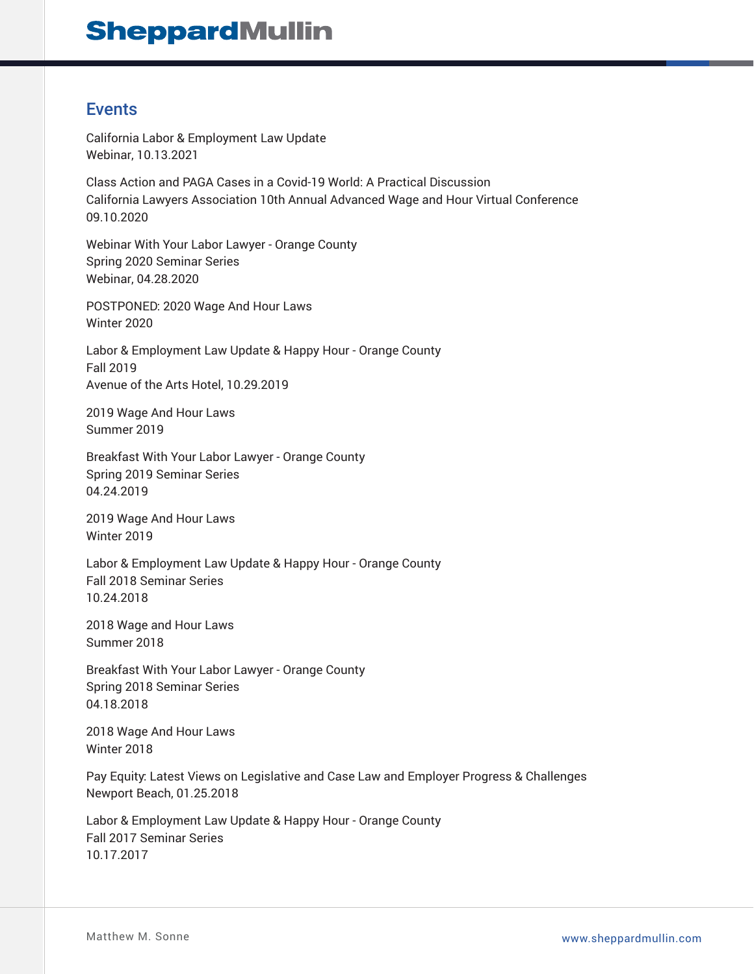### Events

California Labor & Employment Law Update Webinar, 10.13.2021

Class Action and PAGA Cases in a Covid-19 World: A Practical Discussion California Lawyers Association 10th Annual Advanced Wage and Hour Virtual Conference 09.10.2020

Webinar With Your Labor Lawyer - Orange County Spring 2020 Seminar Series Webinar, 04.28.2020

POSTPONED: 2020 Wage And Hour Laws Winter 2020

Labor & Employment Law Update & Happy Hour - Orange County Fall 2019 Avenue of the Arts Hotel, 10.29.2019

2019 Wage And Hour Laws Summer 2019

Breakfast With Your Labor Lawyer - Orange County Spring 2019 Seminar Series 04.24.2019

2019 Wage And Hour Laws Winter 2019

Labor & Employment Law Update & Happy Hour - Orange County Fall 2018 Seminar Series 10.24.2018

2018 Wage and Hour Laws Summer 2018

Breakfast With Your Labor Lawyer - Orange County Spring 2018 Seminar Series 04.18.2018

2018 Wage And Hour Laws Winter 2018

Pay Equity: Latest Views on Legislative and Case Law and Employer Progress & Challenges Newport Beach, 01.25.2018

Labor & Employment Law Update & Happy Hour - Orange County Fall 2017 Seminar Series 10.17.2017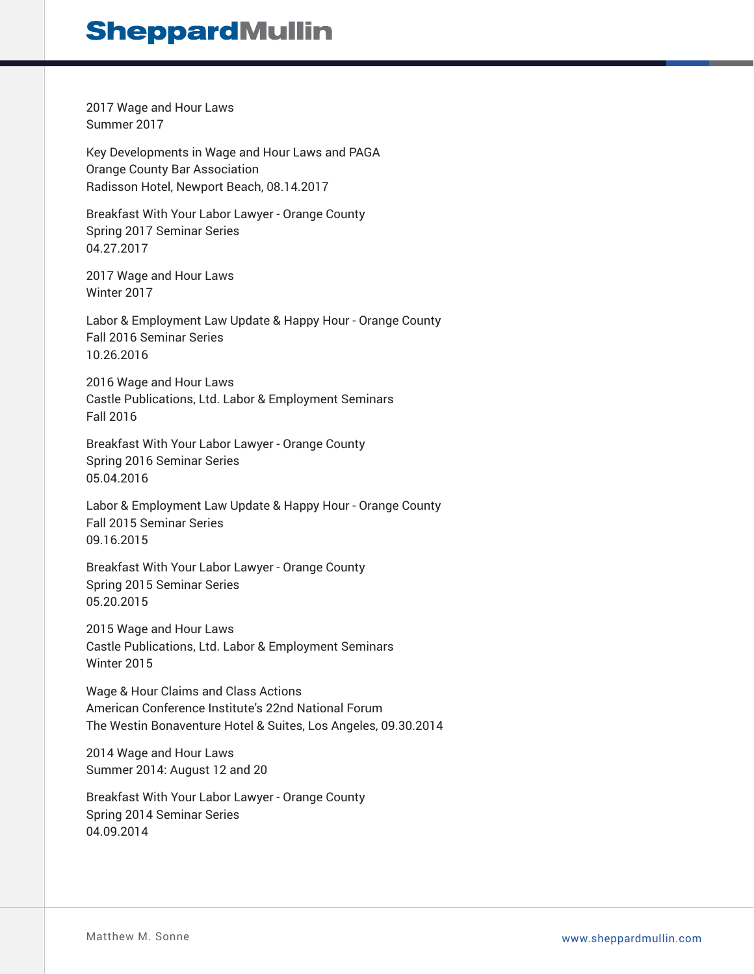2017 Wage and Hour Laws Summer 2017

Key Developments in Wage and Hour Laws and PAGA Orange County Bar Association Radisson Hotel, Newport Beach, 08.14.2017

Breakfast With Your Labor Lawyer - Orange County Spring 2017 Seminar Series 04.27.2017

2017 Wage and Hour Laws Winter 2017

Labor & Employment Law Update & Happy Hour - Orange County Fall 2016 Seminar Series 10.26.2016

2016 Wage and Hour Laws Castle Publications, Ltd. Labor & Employment Seminars Fall 2016

Breakfast With Your Labor Lawyer - Orange County Spring 2016 Seminar Series 05.04.2016

Labor & Employment Law Update & Happy Hour - Orange County Fall 2015 Seminar Series 09.16.2015

Breakfast With Your Labor Lawyer - Orange County Spring 2015 Seminar Series 05.20.2015

2015 Wage and Hour Laws Castle Publications, Ltd. Labor & Employment Seminars Winter 2015

Wage & Hour Claims and Class Actions American Conference Institute's 22nd National Forum The Westin Bonaventure Hotel & Suites, Los Angeles, 09.30.2014

2014 Wage and Hour Laws Summer 2014: August 12 and 20

Breakfast With Your Labor Lawyer - Orange County Spring 2014 Seminar Series 04.09.2014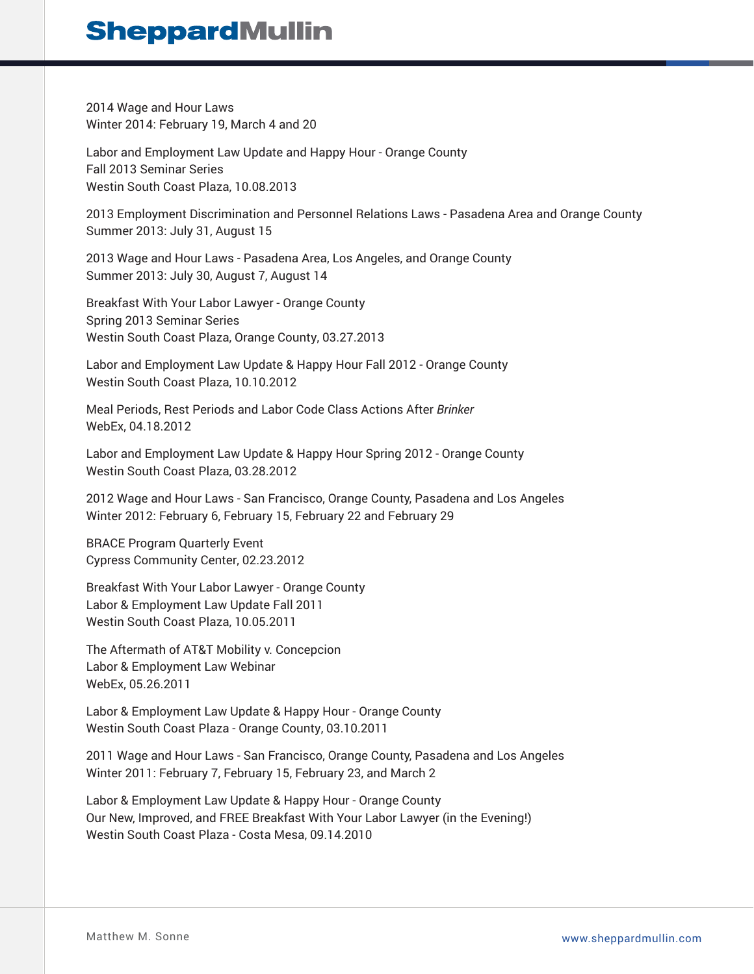2014 Wage and Hour Laws Winter 2014: February 19, March 4 and 20

Labor and Employment Law Update and Happy Hour - Orange County Fall 2013 Seminar Series Westin South Coast Plaza, 10.08.2013

2013 Employment Discrimination and Personnel Relations Laws - Pasadena Area and Orange County Summer 2013: July 31, August 15

2013 Wage and Hour Laws - Pasadena Area, Los Angeles, and Orange County Summer 2013: July 30, August 7, August 14

Breakfast With Your Labor Lawyer - Orange County Spring 2013 Seminar Series Westin South Coast Plaza, Orange County, 03.27.2013

Labor and Employment Law Update & Happy Hour Fall 2012 - Orange County Westin South Coast Plaza, 10.10.2012

Meal Periods, Rest Periods and Labor Code Class Actions After *Brinker* WebEx, 04.18.2012

Labor and Employment Law Update & Happy Hour Spring 2012 - Orange County Westin South Coast Plaza, 03.28.2012

2012 Wage and Hour Laws - San Francisco, Orange County, Pasadena and Los Angeles Winter 2012: February 6, February 15, February 22 and February 29

BRACE Program Quarterly Event Cypress Community Center, 02.23.2012

Breakfast With Your Labor Lawyer - Orange County Labor & Employment Law Update Fall 2011 Westin South Coast Plaza, 10.05.2011

The Aftermath of AT&T Mobility v. Concepcion Labor & Employment Law Webinar WebEx, 05.26.2011

Labor & Employment Law Update & Happy Hour - Orange County Westin South Coast Plaza - Orange County, 03.10.2011

2011 Wage and Hour Laws - San Francisco, Orange County, Pasadena and Los Angeles Winter 2011: February 7, February 15, February 23, and March 2

Labor & Employment Law Update & Happy Hour - Orange County Our New, Improved, and FREE Breakfast With Your Labor Lawyer (in the Evening!) Westin South Coast Plaza - Costa Mesa, 09.14.2010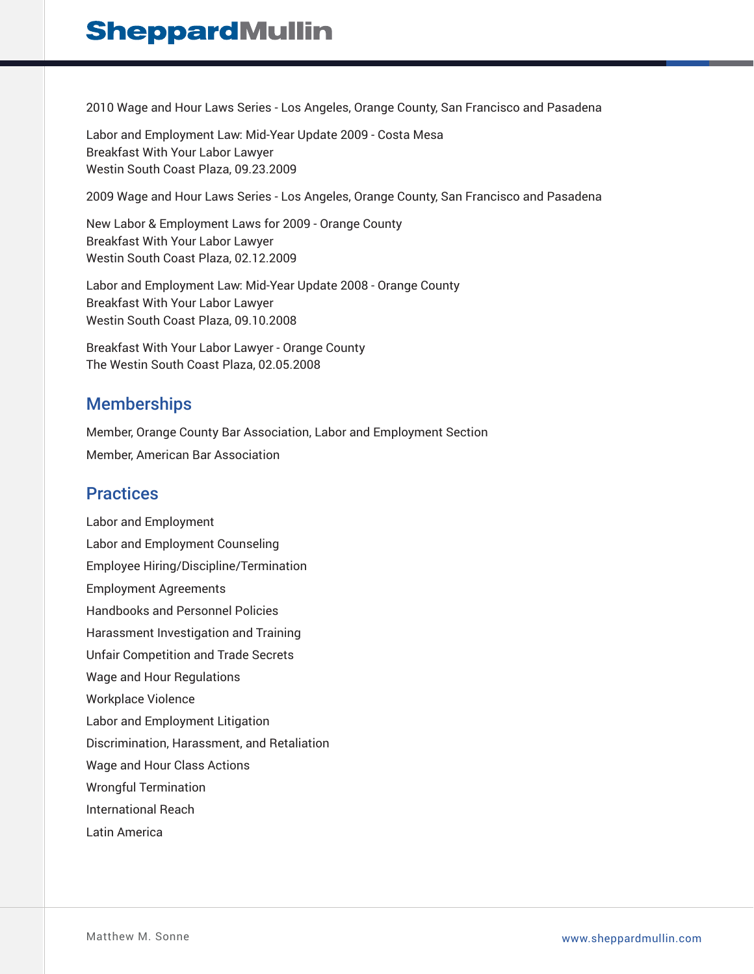2010 Wage and Hour Laws Series - Los Angeles, Orange County, San Francisco and Pasadena

Labor and Employment Law: Mid-Year Update 2009 - Costa Mesa Breakfast With Your Labor Lawyer Westin South Coast Plaza, 09.23.2009

2009 Wage and Hour Laws Series - Los Angeles, Orange County, San Francisco and Pasadena

New Labor & Employment Laws for 2009 - Orange County Breakfast With Your Labor Lawyer Westin South Coast Plaza, 02.12.2009

Labor and Employment Law: Mid-Year Update 2008 - Orange County Breakfast With Your Labor Lawyer Westin South Coast Plaza, 09.10.2008

Breakfast With Your Labor Lawyer - Orange County The Westin South Coast Plaza, 02.05.2008

### **Memberships**

Member, Orange County Bar Association, Labor and Employment Section Member, American Bar Association

### **Practices**

Labor and Employment Labor and Employment Counseling Employee Hiring/Discipline/Termination Employment Agreements Handbooks and Personnel Policies Harassment Investigation and Training Unfair Competition and Trade Secrets Wage and Hour Regulations Workplace Violence Labor and Employment Litigation Discrimination, Harassment, and Retaliation Wage and Hour Class Actions Wrongful Termination International Reach Latin America